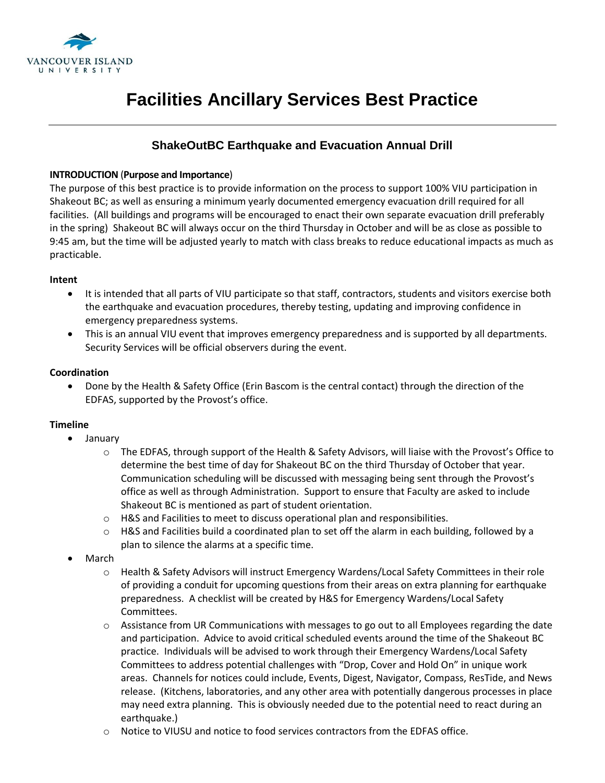

# **Facilities Ancillary Services Best Practice**

## **ShakeOutBC Earthquake and Evacuation Annual Drill**

#### **INTRODUCTION** (**Purpose and Importance**)

The purpose of this best practice is to provide information on the process to support 100% VIU participation in Shakeout BC; as well as ensuring a minimum yearly documented emergency evacuation drill required for all facilities. (All buildings and programs will be encouraged to enact their own separate evacuation drill preferably in the spring) Shakeout BC will always occur on the third Thursday in October and will be as close as possible to 9:45 am, but the time will be adjusted yearly to match with class breaks to reduce educational impacts as much as practicable.

#### **Intent**

- It is intended that all parts of VIU participate so that staff, contractors, students and visitors exercise both the earthquake and evacuation procedures, thereby testing, updating and improving confidence in emergency preparedness systems.
- This is an annual VIU event that improves emergency preparedness and is supported by all departments. Security Services will be official observers during the event.

#### **Coordination**

 Done by the Health & Safety Office (Erin Bascom is the central contact) through the direction of the EDFAS, supported by the Provost's office.

### **Timeline**

- January
	- o The EDFAS, through support of the Health & Safety Advisors, will liaise with the Provost's Office to determine the best time of day for Shakeout BC on the third Thursday of October that year. Communication scheduling will be discussed with messaging being sent through the Provost's office as well as through Administration. Support to ensure that Faculty are asked to include Shakeout BC is mentioned as part of student orientation.
	- $\circ$  H&S and Facilities to meet to discuss operational plan and responsibilities.
	- o H&S and Facilities build a coordinated plan to set off the alarm in each building, followed by a plan to silence the alarms at a specific time.
- March
	- o Health & Safety Advisors will instruct Emergency Wardens/Local Safety Committees in their role of providing a conduit for upcoming questions from their areas on extra planning for earthquake preparedness. A checklist will be created by H&S for Emergency Wardens/Local Safety Committees.
	- o Assistance from UR Communications with messages to go out to all Employees regarding the date and participation. Advice to avoid critical scheduled events around the time of the Shakeout BC practice. Individuals will be advised to work through their Emergency Wardens/Local Safety Committees to address potential challenges with "Drop, Cover and Hold On" in unique work areas. Channels for notices could include, Events, Digest, Navigator, Compass, ResTide, and News release. (Kitchens, laboratories, and any other area with potentially dangerous processes in place may need extra planning. This is obviously needed due to the potential need to react during an earthquake.)
	- $\circ$  Notice to VIUSU and notice to food services contractors from the EDFAS office.